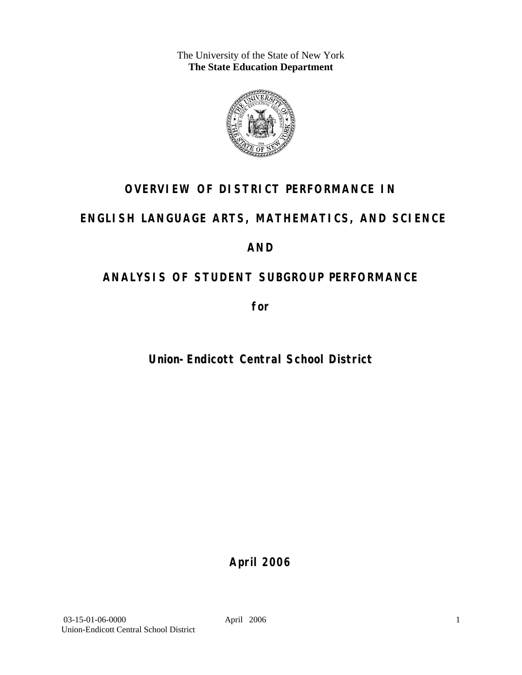The University of the State of New York **The State Education Department** 



## **OVERVIEW OF DISTRICT PERFORMANCE IN**

## **ENGLISH LANGUAGE ARTS, MATHEMATICS, AND SCIENCE**

## **AND**

# **ANALYSIS OF STUDENT SUBGROUP PERFORMANCE**

**for** 

# **Union-Endicott Central School District**

**April 2006**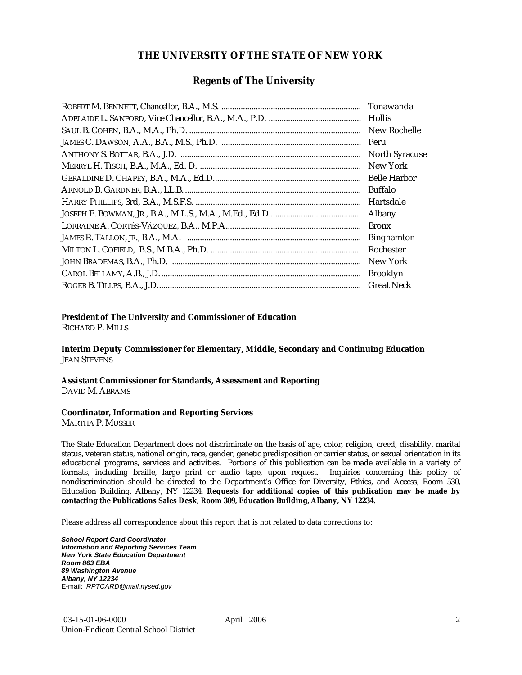### **THE UNIVERSITY OF THE STATE OF NEW YORK**

### **Regents of The University**

| Tonawanda             |
|-----------------------|
| <b>Hollis</b>         |
| New Rochelle          |
|                       |
| <b>North Syracuse</b> |
| New York              |
|                       |
| Buffalo               |
| Hartsdale             |
| Albany                |
| <b>Bronx</b>          |
| <b>Binghamton</b>     |
| Rochester             |
| New York              |
| <b>Brooklyn</b>       |
| <b>Great Neck</b>     |

### **President of The University and Commissioner of Education**

RICHARD P. MILLS

**Interim Deputy Commissioner for Elementary, Middle, Secondary and Continuing Education**  JEAN STEVENS

#### **Assistant Commissioner for Standards, Assessment and Reporting**  DAVID M. ABRAMS

#### **Coordinator, Information and Reporting Services**

MARTHA P. MUSSER

The State Education Department does not discriminate on the basis of age, color, religion, creed, disability, marital status, veteran status, national origin, race, gender, genetic predisposition or carrier status, or sexual orientation in its educational programs, services and activities. Portions of this publication can be made available in a variety of formats, including braille, large print or audio tape, upon request. Inquiries concerning this policy of nondiscrimination should be directed to the Department's Office for Diversity, Ethics, and Access, Room 530, Education Building, Albany, NY 12234. **Requests for additional copies of this publication may be made by contacting the Publications Sales Desk, Room 309, Education Building, Albany, NY 12234.** 

Please address all correspondence about this report that is not related to data corrections to:

*School Report Card Coordinator Information and Reporting Services Team New York State Education Department Room 863 EBA 89 Washington Avenue Albany, NY 12234*  E-mail: *RPTCARD@mail.nysed.gov*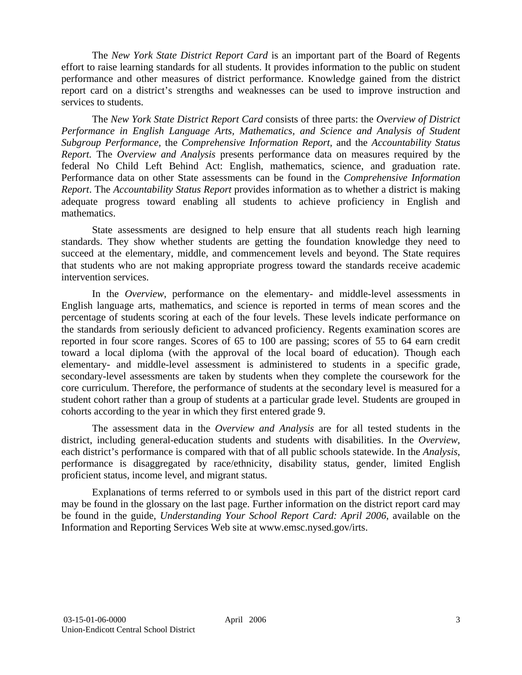The *New York State District Report Card* is an important part of the Board of Regents effort to raise learning standards for all students. It provides information to the public on student performance and other measures of district performance. Knowledge gained from the district report card on a district's strengths and weaknesses can be used to improve instruction and services to students.

The *New York State District Report Card* consists of three parts: the *Overview of District Performance in English Language Arts, Mathematics, and Science and Analysis of Student Subgroup Performance,* the *Comprehensive Information Report,* and the *Accountability Status Report.* The *Overview and Analysis* presents performance data on measures required by the federal No Child Left Behind Act: English, mathematics, science, and graduation rate. Performance data on other State assessments can be found in the *Comprehensive Information Report*. The *Accountability Status Report* provides information as to whether a district is making adequate progress toward enabling all students to achieve proficiency in English and mathematics.

State assessments are designed to help ensure that all students reach high learning standards. They show whether students are getting the foundation knowledge they need to succeed at the elementary, middle, and commencement levels and beyond. The State requires that students who are not making appropriate progress toward the standards receive academic intervention services.

In the *Overview*, performance on the elementary- and middle-level assessments in English language arts, mathematics, and science is reported in terms of mean scores and the percentage of students scoring at each of the four levels. These levels indicate performance on the standards from seriously deficient to advanced proficiency. Regents examination scores are reported in four score ranges. Scores of 65 to 100 are passing; scores of 55 to 64 earn credit toward a local diploma (with the approval of the local board of education). Though each elementary- and middle-level assessment is administered to students in a specific grade, secondary-level assessments are taken by students when they complete the coursework for the core curriculum. Therefore, the performance of students at the secondary level is measured for a student cohort rather than a group of students at a particular grade level. Students are grouped in cohorts according to the year in which they first entered grade 9.

The assessment data in the *Overview and Analysis* are for all tested students in the district, including general-education students and students with disabilities. In the *Overview*, each district's performance is compared with that of all public schools statewide. In the *Analysis*, performance is disaggregated by race/ethnicity, disability status, gender, limited English proficient status, income level, and migrant status.

Explanations of terms referred to or symbols used in this part of the district report card may be found in the glossary on the last page. Further information on the district report card may be found in the guide, *Understanding Your School Report Card: April 2006*, available on the Information and Reporting Services Web site at www.emsc.nysed.gov/irts.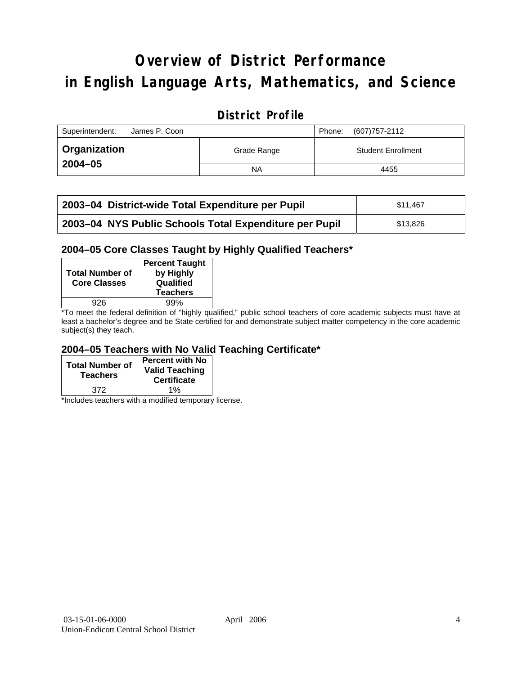# **Overview of District Performance in English Language Arts, Mathematics, and Science**

## **District Profile**

| Superintendent:<br>James P. Coon |             | (607) 757-2112<br>Phone:  |
|----------------------------------|-------------|---------------------------|
| Organization                     | Grade Range | <b>Student Enrollment</b> |
| $2004 - 05$                      | NA          | 4455                      |

| 2003-04 District-wide Total Expenditure per Pupil      | \$11.467 |
|--------------------------------------------------------|----------|
| 2003-04 NYS Public Schools Total Expenditure per Pupil | \$13.826 |

### **2004–05 Core Classes Taught by Highly Qualified Teachers\***

| <b>Total Number of</b><br><b>Core Classes</b> | <b>Percent Taught</b><br>by Highly<br>Qualified<br><b>Teachers</b> |
|-----------------------------------------------|--------------------------------------------------------------------|
| 926                                           | 99%                                                                |
|                                               |                                                                    |

\*To meet the federal definition of "highly qualified," public school teachers of core academic subjects must have at least a bachelor's degree and be State certified for and demonstrate subject matter competency in the core academic subject(s) they teach.

### **2004–05 Teachers with No Valid Teaching Certificate\***

| <b>Total Number of</b><br><b>Teachers</b> | Percent with No<br><b>Valid Teaching</b><br><b>Certificate</b> |
|-------------------------------------------|----------------------------------------------------------------|
| 372                                       | $1\%$                                                          |

\*Includes teachers with a modified temporary license.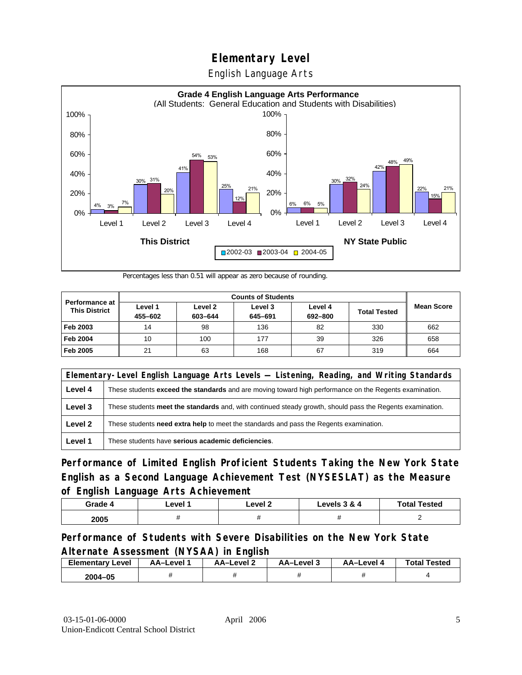English Language Arts



Percentages less than 0.51 will appear as zero because of rounding.

|                                               | <b>Counts of Students</b> |                    |                    |                    |                     |                   |
|-----------------------------------------------|---------------------------|--------------------|--------------------|--------------------|---------------------|-------------------|
| <b>Performance at</b><br><b>This District</b> | Level 1<br>455-602        | Level 2<br>603-644 | Level 3<br>645-691 | Level 4<br>692-800 | <b>Total Tested</b> | <b>Mean Score</b> |
| Feb 2003                                      | 14                        | 98                 | 136                | 82                 | 330                 | 662               |
| <b>Feb 2004</b>                               | 10                        | 100                | 177                | 39                 | 326                 | 658               |
| Feb 2005                                      | 21                        | 63                 | 168                | 67                 | 319                 | 664               |

|         | Elementary-Level English Language Arts Levels — Listening, Reading, and Writing Standards                     |  |  |  |  |
|---------|---------------------------------------------------------------------------------------------------------------|--|--|--|--|
| Level 4 | These students <b>exceed the standards</b> and are moving toward high performance on the Regents examination. |  |  |  |  |
| Level 3 | These students meet the standards and, with continued steady growth, should pass the Regents examination.     |  |  |  |  |
| Level 2 | These students need extra help to meet the standards and pass the Regents examination.                        |  |  |  |  |
| Level 1 | These students have serious academic deficiencies.                                                            |  |  |  |  |

**Performance of Limited English Proficient Students Taking the New York State English as a Second Language Achievement Test (NYSESLAT) as the Measure of English Language Arts Achievement**

| Grade 4 | Level | ∟evel 2 | Levels 3 & 4 | <b>Total Tested</b> |
|---------|-------|---------|--------------|---------------------|
| 2005    |       |         |              |                     |

### **Performance of Students with Severe Disabilities on the New York State Alternate Assessment (NYSAA) in English**

| <b>Elementary Level</b> | AA-Level | <b>AA-Level 2</b> | AA-Level 3 | AA-Level | <b>Total Tested</b> |
|-------------------------|----------|-------------------|------------|----------|---------------------|
| 2004-05                 |          |                   |            |          |                     |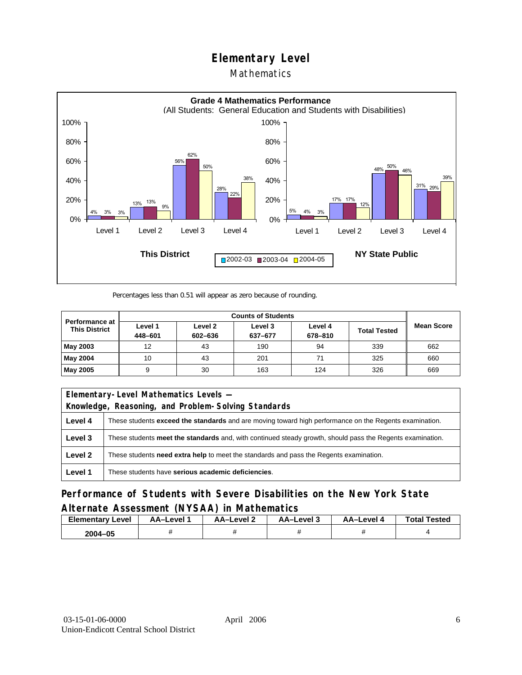### Mathematics



Percentages less than 0.51 will appear as zero because of rounding.

|                                               | <b>Counts of Students</b> |                    |                    |                    |                     |                   |
|-----------------------------------------------|---------------------------|--------------------|--------------------|--------------------|---------------------|-------------------|
| <b>Performance at</b><br><b>This District</b> | Level 1<br>448-601        | Level 2<br>602-636 | Level 3<br>637-677 | Level 4<br>678-810 | <b>Total Tested</b> | <b>Mean Score</b> |
| May 2003                                      | 12                        | 43                 | 190                | 94                 | 339                 | 662               |
| May 2004                                      | 10                        | 43                 | 201                | 71                 | 325                 | 660               |
| May 2005                                      |                           | 30                 | 163                | 124                | 326                 | 669               |

| Elementary-Level Mathematics Levels - |                                                                                                               |  |  |  |  |
|---------------------------------------|---------------------------------------------------------------------------------------------------------------|--|--|--|--|
|                                       | Knowledge, Reasoning, and Problem-Solving Standards                                                           |  |  |  |  |
| Level 4                               | These students <b>exceed the standards</b> and are moving toward high performance on the Regents examination. |  |  |  |  |
| Level 3                               | These students meet the standards and, with continued steady growth, should pass the Regents examination.     |  |  |  |  |
| Level 2                               | These students <b>need extra help</b> to meet the standards and pass the Regents examination.                 |  |  |  |  |
| Level 1                               | These students have serious academic deficiencies.                                                            |  |  |  |  |

**Performance of Students with Severe Disabilities on the New York State Alternate Assessment (NYSAA) in Mathematics** 

| <b>Elementary</b><br>Level | AA-Level | – AA–Level ∠ | د AA–Level | AA-Level 4 | <b>Total Tested</b> |
|----------------------------|----------|--------------|------------|------------|---------------------|
| 2004-05                    |          |              |            |            |                     |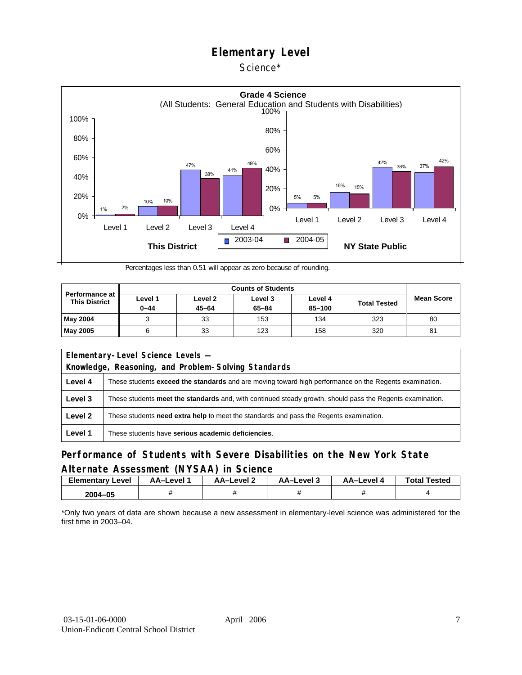### Science\*



Percentages less than 0.51 will appear as zero because of rounding.

| Performance at<br><b>This District</b> | Level 1<br>$0 - 44$ | Level 2<br>$45 - 64$ | Level 3<br>$65 - 84$ | Level 4<br>$85 - 100$ | <b>Total Tested</b> | <b>Mean Score</b> |
|----------------------------------------|---------------------|----------------------|----------------------|-----------------------|---------------------|-------------------|
| <b>May 2004</b>                        |                     | 33                   | 153                  | 134                   | 323                 | 80                |
| <b>May 2005</b>                        | 6                   | 33                   | 123                  | 158                   | 320                 | 81                |

| Elementary-Level Science Levels -                   |                                                                                                               |  |  |  |  |
|-----------------------------------------------------|---------------------------------------------------------------------------------------------------------------|--|--|--|--|
| Knowledge, Reasoning, and Problem-Solving Standards |                                                                                                               |  |  |  |  |
| Level 4                                             | These students <b>exceed the standards</b> and are moving toward high performance on the Regents examination. |  |  |  |  |
| Level 3                                             | These students meet the standards and, with continued steady growth, should pass the Regents examination.     |  |  |  |  |
| Level 2                                             | These students <b>need extra help</b> to meet the standards and pass the Regents examination.                 |  |  |  |  |
| Level 1                                             | These students have serious academic deficiencies.                                                            |  |  |  |  |

### **Performance of Students with Severe Disabilities on the New York State Alternate Assessment (NYSAA) in Science**

| <b>Elementary Level</b> | AA-Level <sup>*</sup> | AA-Level 2 | د AA–Level | AA–Level 4 | <b>Total Tested</b> |
|-------------------------|-----------------------|------------|------------|------------|---------------------|
| 2004-05                 |                       |            |            |            |                     |

\*Only two years of data are shown because a new assessment in elementary-level science was administered for the first time in 2003–04.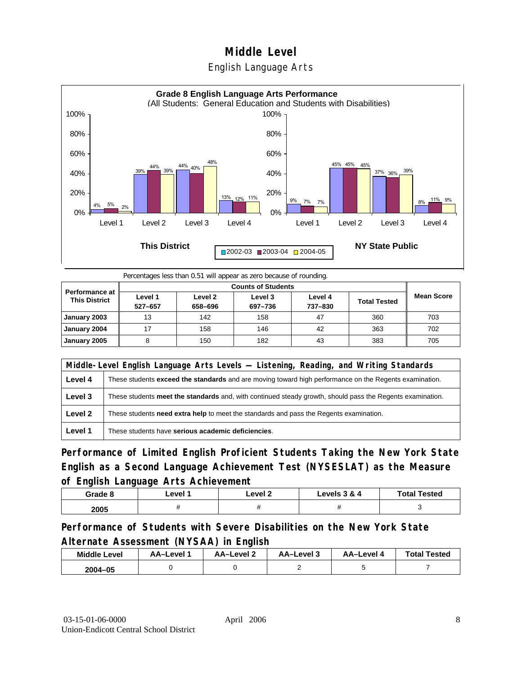## **Middle Level**  English Language Arts



Percentages less than 0.51 will appear as zero because of rounding.

| <b>Performance at</b><br><b>This District</b> | Level 1<br>527-657 | Level 2<br>658-696 | Level 3<br>697-736 | Level 4<br>737-830 | <b>Total Tested</b> | <b>Mean Score</b> |
|-----------------------------------------------|--------------------|--------------------|--------------------|--------------------|---------------------|-------------------|
| January 2003                                  | 13                 | 142                | 158                | 47                 | 360                 | 703               |
| January 2004                                  | 17                 | 158                | 146                | 42                 | 363                 | 702               |
| January 2005                                  |                    | 150                | 182                | 43                 | 383                 | 705               |

|         | Middle-Level English Language Arts Levels — Listening, Reading, and Writing Standards                     |  |  |  |  |
|---------|-----------------------------------------------------------------------------------------------------------|--|--|--|--|
| Level 4 | These students exceed the standards and are moving toward high performance on the Regents examination.    |  |  |  |  |
| Level 3 | These students meet the standards and, with continued steady growth, should pass the Regents examination. |  |  |  |  |
| Level 2 | These students need extra help to meet the standards and pass the Regents examination.                    |  |  |  |  |
| Level 1 | These students have serious academic deficiencies.                                                        |  |  |  |  |

**Performance of Limited English Proficient Students Taking the New York State English as a Second Language Achievement Test (NYSESLAT) as the Measure of English Language Arts Achievement**

| Grade 8 | ∟evel ″ | _evel 2 | <b>Levels 3 &amp; 4</b> | <b>Total Tested</b> |
|---------|---------|---------|-------------------------|---------------------|
| 2005    |         |         |                         |                     |

**Performance of Students with Severe Disabilities on the New York State Alternate Assessment (NYSAA) in English** 

| <b>Middle Level</b> | AA–Level | AA-Level 2 | AA-Level 3 | AA-Level 4 | <b>Total Tested</b> |
|---------------------|----------|------------|------------|------------|---------------------|
| $2004 - 05$         |          |            |            |            |                     |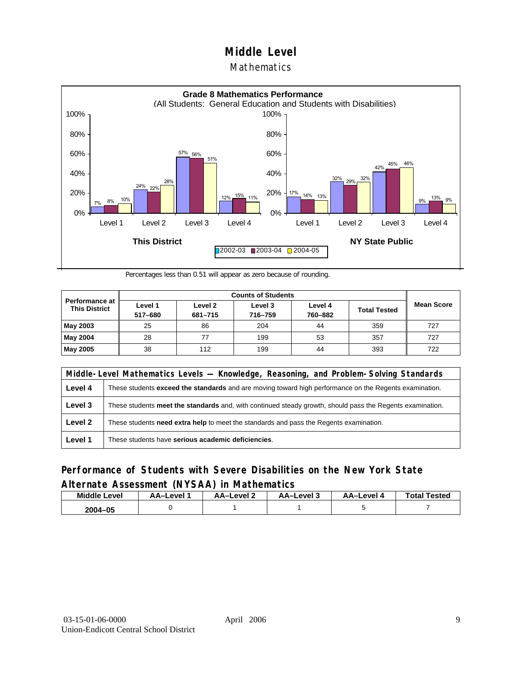### **Mathematics**



Percentages less than 0.51 will appear as zero because of rounding.

|                                          |                    | <b>Counts of Students</b> |                    |                    |                     |                   |  |  |  |
|------------------------------------------|--------------------|---------------------------|--------------------|--------------------|---------------------|-------------------|--|--|--|
| Performance at I<br><b>This District</b> | Level 1<br>517-680 | Level 2<br>681-715        | Level 3<br>716-759 | Level 4<br>760-882 | <b>Total Tested</b> | <b>Mean Score</b> |  |  |  |
| May 2003                                 | 25                 | 86                        | 204                | 44                 | 359                 | 727               |  |  |  |
| May 2004                                 | 28                 |                           | 199                | 53                 | 357                 | 727               |  |  |  |
| May 2005                                 | 38                 | 112                       | 199                | 44                 | 393                 | 722               |  |  |  |

|         | Middle-Level Mathematics Levels — Knowledge, Reasoning, and Problem-Solving Standards                         |  |  |  |  |
|---------|---------------------------------------------------------------------------------------------------------------|--|--|--|--|
| Level 4 | These students <b>exceed the standards</b> and are moving toward high performance on the Regents examination. |  |  |  |  |
| Level 3 | These students meet the standards and, with continued steady growth, should pass the Regents examination.     |  |  |  |  |
| Level 2 | These students need extra help to meet the standards and pass the Regents examination.                        |  |  |  |  |
| Level 1 | These students have serious academic deficiencies.                                                            |  |  |  |  |

### **Performance of Students with Severe Disabilities on the New York State Alternate Assessment (NYSAA) in Mathematics**

| <b>Middle Level</b> | AA–Level | <b>AA-Level 2</b> | AA-Level 3 | AA-Level 4 | <b>Total Tested</b> |
|---------------------|----------|-------------------|------------|------------|---------------------|
| 2004–05             |          |                   |            |            |                     |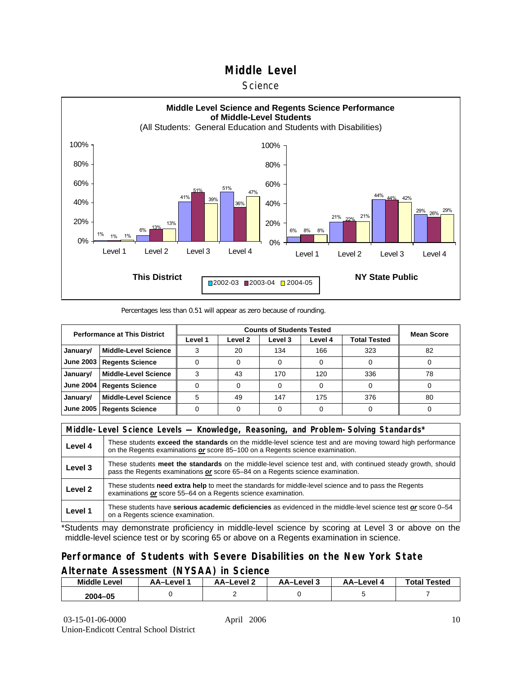#### **Science**



#### Percentages less than 0.51 will appear as zero because of rounding.

| <b>Performance at This District</b> |                             |         | <b>Mean Score</b> |         |         |                     |    |
|-------------------------------------|-----------------------------|---------|-------------------|---------|---------|---------------------|----|
|                                     |                             | Level 1 | Level 2           | Level 3 | Level 4 | <b>Total Tested</b> |    |
| January/                            | <b>Middle-Level Science</b> |         | 20                | 134     | 166     | 323                 | 82 |
| June 2003                           | <b>Regents Science</b>      |         |                   |         |         |                     |    |
| January/                            | <b>Middle-Level Science</b> |         | 43                | 170     | 120     | 336                 | 78 |
| <b>June 2004</b>                    | <b>Regents Science</b>      |         |                   |         |         |                     |    |
| January/                            | <b>Middle-Level Science</b> | 5       | 49                | 147     | 175     | 376                 | 80 |
| <b>June 2005</b>                    | <b>Regents Science</b>      |         |                   |         |         |                     |    |

|         | Middle-Level Science Levels — Knowledge, Reasoning, and Problem-Solving Standards*                                                                                                                  |  |  |  |  |
|---------|-----------------------------------------------------------------------------------------------------------------------------------------------------------------------------------------------------|--|--|--|--|
| Level 4 | These students <b>exceed the standards</b> on the middle-level science test and are moving toward high performance<br>on the Regents examinations or score 85-100 on a Regents science examination. |  |  |  |  |
| Level 3 | These students meet the standards on the middle-level science test and, with continued steady growth, should<br>pass the Regents examinations or score 65–84 on a Regents science examination.      |  |  |  |  |
| Level 2 | These students need extra help to meet the standards for middle-level science and to pass the Regents<br>examinations or score 55–64 on a Regents science examination.                              |  |  |  |  |
| Level 1 | These students have serious academic deficiencies as evidenced in the middle-level science test or score 0–54<br>on a Regents science examination.                                                  |  |  |  |  |

\*Students may demonstrate proficiency in middle-level science by scoring at Level 3 or above on the middle-level science test or by scoring 65 or above on a Regents examination in science.

### **Performance of Students with Severe Disabilities on the New York State Alternate Assessment (NYSAA) in Science**

| Middle L<br>_evel | AA–Level | AA-Level | AA–Level 3 | AA-Level | <b>Total Tested</b> |
|-------------------|----------|----------|------------|----------|---------------------|
| 2004-05           |          |          |            |          |                     |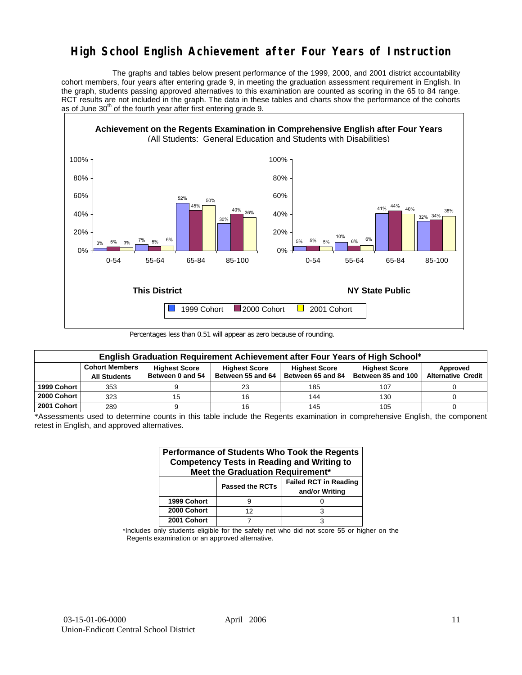## **High School English Achievement after Four Years of Instruction**

 The graphs and tables below present performance of the 1999, 2000, and 2001 district accountability cohort members, four years after entering grade 9, in meeting the graduation assessment requirement in English. In the graph, students passing approved alternatives to this examination are counted as scoring in the 65 to 84 range. RCT results are not included in the graph. The data in these tables and charts show the performance of the cohorts as of June  $30<sup>th</sup>$  of the fourth year after first entering grade 9.



Percentages less than 0.51 will appear as zero because of rounding.

|             | English Graduation Requirement Achievement after Four Years of High School* |                                          |                                           |                                           |                                            |                                       |  |  |  |  |  |  |
|-------------|-----------------------------------------------------------------------------|------------------------------------------|-------------------------------------------|-------------------------------------------|--------------------------------------------|---------------------------------------|--|--|--|--|--|--|
|             | <b>Cohort Members</b><br><b>All Students</b>                                | <b>Highest Score</b><br>Between 0 and 54 | <b>Highest Score</b><br>Between 55 and 64 | <b>Highest Score</b><br>Between 65 and 84 | <b>Highest Score</b><br>Between 85 and 100 | Approved<br><b>Alternative Credit</b> |  |  |  |  |  |  |
| 1999 Cohort | 353                                                                         |                                          | 23                                        | 185                                       | 107                                        |                                       |  |  |  |  |  |  |
| 2000 Cohort | 323                                                                         | 15                                       | 16                                        | 144                                       | 130                                        |                                       |  |  |  |  |  |  |
| 2001 Cohort | 289                                                                         |                                          |                                           | 145                                       | 105                                        |                                       |  |  |  |  |  |  |

\*Assessments used to determine counts in this table include the Regents examination in comprehensive English, the component retest in English, and approved alternatives.

| Performance of Students Who Took the Regents<br><b>Competency Tests in Reading and Writing to</b><br>Meet the Graduation Requirement* |                        |                                                |  |  |  |  |  |  |  |
|---------------------------------------------------------------------------------------------------------------------------------------|------------------------|------------------------------------------------|--|--|--|--|--|--|--|
|                                                                                                                                       | <b>Passed the RCTs</b> | <b>Failed RCT in Reading</b><br>and/or Writing |  |  |  |  |  |  |  |
| 1999 Cohort                                                                                                                           |                        |                                                |  |  |  |  |  |  |  |
| 2000 Cohort                                                                                                                           | 12                     |                                                |  |  |  |  |  |  |  |
| 2001 Cohort                                                                                                                           |                        |                                                |  |  |  |  |  |  |  |

\*Includes only students eligible for the safety net who did not score 55 or higher on the Regents examination or an approved alternative.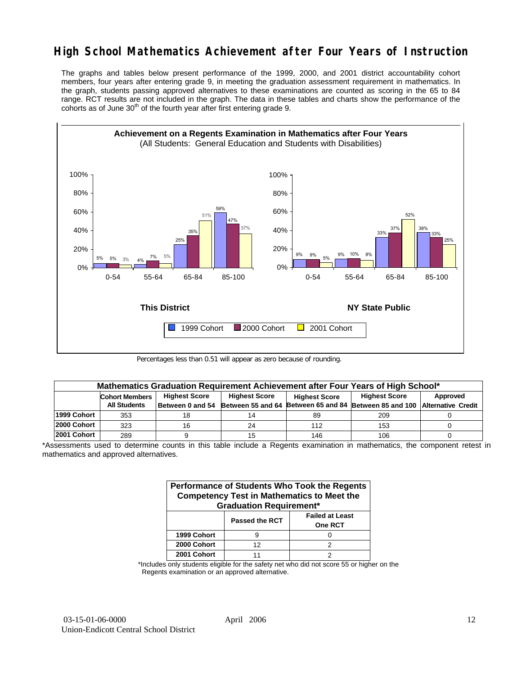## **High School Mathematics Achievement after Four Years of Instruction**

The graphs and tables below present performance of the 1999, 2000, and 2001 district accountability cohort members, four years after entering grade 9, in meeting the graduation assessment requirement in mathematics. In the graph, students passing approved alternatives to these examinations are counted as scoring in the 65 to 84 range. RCT results are not included in the graph. The data in these tables and charts show the performance of the cohorts as of June  $30<sup>th</sup>$  of the fourth year after first entering grade 9.



Percentages less than 0.51 will appear as zero because of rounding.

|             | Mathematics Graduation Requirement Achievement after Four Years of High School* |                  |                                              |     |                                                         |          |  |  |  |  |  |
|-------------|---------------------------------------------------------------------------------|------------------|----------------------------------------------|-----|---------------------------------------------------------|----------|--|--|--|--|--|
|             | <b>Highest Score</b><br><b>Cohort Members</b>                                   |                  | <b>Highest Score</b><br><b>Highest Score</b> |     | <b>Highest Score</b>                                    | Approved |  |  |  |  |  |
|             | <b>All Students</b>                                                             | Between 0 and 54 | Between 55 and 64                            |     | Between 65 and 84 Between 85 and 100 Alternative Credit |          |  |  |  |  |  |
| 1999 Cohort | 353                                                                             | 18               |                                              | 89  | 209                                                     |          |  |  |  |  |  |
| 2000 Cohort | 323                                                                             | 16               | 24                                           | 112 | 153                                                     |          |  |  |  |  |  |
| 2001 Cohort | 289                                                                             |                  |                                              | 146 | 106                                                     |          |  |  |  |  |  |

<sup>\*</sup>Assessments used to determine counts in this table include a Regents examination in mathematics, the component retest in mathematics and approved alternatives.

| Performance of Students Who Took the Regents<br><b>Competency Test in Mathematics to Meet the</b><br><b>Graduation Requirement*</b> |                |                                          |  |  |  |  |  |  |
|-------------------------------------------------------------------------------------------------------------------------------------|----------------|------------------------------------------|--|--|--|--|--|--|
|                                                                                                                                     | Passed the RCT | <b>Failed at Least</b><br><b>One RCT</b> |  |  |  |  |  |  |
| 1999 Cohort                                                                                                                         | g              |                                          |  |  |  |  |  |  |
| 2000 Cohort                                                                                                                         | 12             | 2                                        |  |  |  |  |  |  |
| 2001 Cohort                                                                                                                         |                |                                          |  |  |  |  |  |  |

\*Includes only students eligible for the safety net who did not score 55 or higher on the Regents examination or an approved alternative.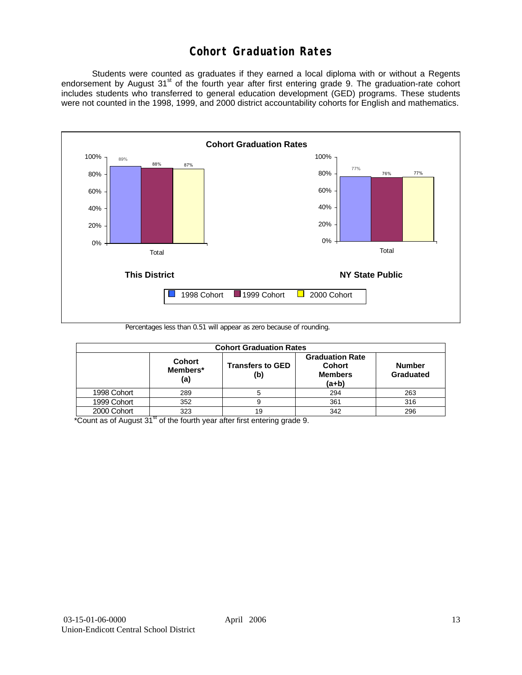## **Cohort Graduation Rates**

 Students were counted as graduates if they earned a local diploma with or without a Regents endorsement by August 31<sup>st</sup> of the fourth year after first entering grade 9. The graduation-rate cohort includes students who transferred to general education development (GED) programs. These students were not counted in the 1998, 1999, and 2000 district accountability cohorts for English and mathematics.



Percentages less than 0.51 will appear as zero because of rounding.

| <b>Cohort Graduation Rates</b> |                                  |                                |                                                                      |                            |  |  |  |  |  |  |
|--------------------------------|----------------------------------|--------------------------------|----------------------------------------------------------------------|----------------------------|--|--|--|--|--|--|
|                                | <b>Cohort</b><br>Members*<br>(a) | <b>Transfers to GED</b><br>(b) | <b>Graduation Rate</b><br><b>Cohort</b><br><b>Members</b><br>$(a+b)$ | <b>Number</b><br>Graduated |  |  |  |  |  |  |
| 1998 Cohort                    | 289                              |                                | 294                                                                  | 263                        |  |  |  |  |  |  |
| 1999 Cohort                    | 352                              |                                | 361                                                                  | 316                        |  |  |  |  |  |  |
| 2000 Cohort                    | 323                              | 19                             | 342                                                                  | 296                        |  |  |  |  |  |  |

 $*$ Count as of August 31 $*$  of the fourth year after first entering grade 9.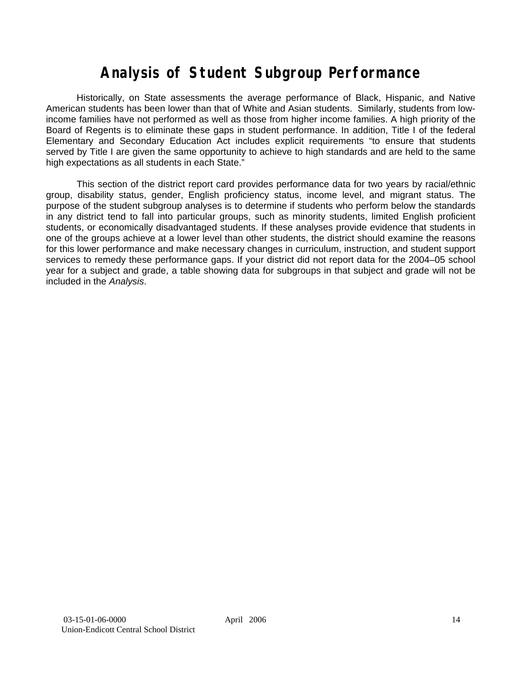# **Analysis of Student Subgroup Performance**

Historically, on State assessments the average performance of Black, Hispanic, and Native American students has been lower than that of White and Asian students. Similarly, students from lowincome families have not performed as well as those from higher income families. A high priority of the Board of Regents is to eliminate these gaps in student performance. In addition, Title I of the federal Elementary and Secondary Education Act includes explicit requirements "to ensure that students served by Title I are given the same opportunity to achieve to high standards and are held to the same high expectations as all students in each State."

This section of the district report card provides performance data for two years by racial/ethnic group, disability status, gender, English proficiency status, income level, and migrant status. The purpose of the student subgroup analyses is to determine if students who perform below the standards in any district tend to fall into particular groups, such as minority students, limited English proficient students, or economically disadvantaged students. If these analyses provide evidence that students in one of the groups achieve at a lower level than other students, the district should examine the reasons for this lower performance and make necessary changes in curriculum, instruction, and student support services to remedy these performance gaps. If your district did not report data for the 2004–05 school year for a subject and grade, a table showing data for subgroups in that subject and grade will not be included in the *Analysis*.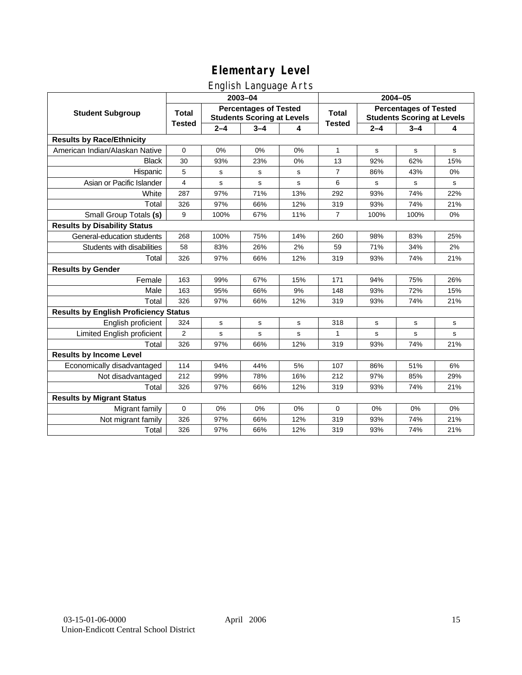## English Language Arts

|                                              |               |         | ັ<br>2003-04                                                      |     | 2004-05        |             |                                                                   |             |
|----------------------------------------------|---------------|---------|-------------------------------------------------------------------|-----|----------------|-------------|-------------------------------------------------------------------|-------------|
| <b>Student Subgroup</b>                      | <b>Total</b>  |         | <b>Percentages of Tested</b><br><b>Students Scoring at Levels</b> |     | Total          |             | <b>Percentages of Tested</b><br><b>Students Scoring at Levels</b> |             |
|                                              | <b>Tested</b> | $2 - 4$ | $3 - 4$                                                           | 4   | <b>Tested</b>  | $2 - 4$     | $3 - 4$                                                           | 4           |
| <b>Results by Race/Ethnicity</b>             |               |         |                                                                   |     |                |             |                                                                   |             |
| American Indian/Alaskan Native               | $\pmb{0}$     | 0%      | 0%                                                                | 0%  | $\mathbf{1}$   | s           | $\mathbf s$                                                       | s           |
| <b>Black</b>                                 | 30            | 93%     | 23%                                                               | 0%  | 13             | 92%         | 62%                                                               | 15%         |
| Hispanic                                     | 5             | s       | s                                                                 | s   | $\overline{7}$ | 86%         | 43%                                                               | 0%          |
| Asian or Pacific Islander                    | 4             | s       | s                                                                 | s   | 6              | s           | s                                                                 | s           |
| White                                        | 287           | 97%     | 71%                                                               | 13% | 292            | 93%         | 74%                                                               | 22%         |
| Total                                        | 326           | 97%     | 66%                                                               | 12% | 319            | 93%         | 74%                                                               | 21%         |
| Small Group Totals (s)                       | 9             | 100%    | 67%                                                               | 11% | $\overline{7}$ | 100%        | 100%                                                              | 0%          |
| <b>Results by Disability Status</b>          |               |         |                                                                   |     |                |             |                                                                   |             |
| General-education students                   | 268           | 100%    | 75%                                                               | 14% | 260            | 98%         | 83%                                                               | 25%         |
| Students with disabilities                   | 58            | 83%     | 26%                                                               | 2%  | 59             | 71%         | 34%                                                               | 2%          |
| Total                                        | 326           | 97%     | 66%                                                               | 12% | 319            | 93%         | 74%                                                               | 21%         |
| <b>Results by Gender</b>                     |               |         |                                                                   |     |                |             |                                                                   |             |
| Female                                       | 163           | 99%     | 67%                                                               | 15% | 171            | 94%         | 75%                                                               | 26%         |
| Male                                         | 163           | 95%     | 66%                                                               | 9%  | 148            | 93%         | 72%                                                               | 15%         |
| Total                                        | 326           | 97%     | 66%                                                               | 12% | 319            | 93%         | 74%                                                               | 21%         |
| <b>Results by English Proficiency Status</b> |               |         |                                                                   |     |                |             |                                                                   |             |
| English proficient                           | 324           | s       | $\mathbf s$                                                       | s   | 318            | s           | s                                                                 | s           |
| Limited English proficient                   | 2             | s       | s                                                                 | s   | $\mathbf{1}$   | $\mathbf s$ | $\mathbf s$                                                       | $\mathbf s$ |
| Total                                        | 326           | 97%     | 66%                                                               | 12% | 319            | 93%         | 74%                                                               | 21%         |
| <b>Results by Income Level</b>               |               |         |                                                                   |     |                |             |                                                                   |             |
| Economically disadvantaged                   | 114           | 94%     | 44%                                                               | 5%  | 107            | 86%         | 51%                                                               | 6%          |
| Not disadvantaged                            | 212           | 99%     | 78%                                                               | 16% | 212            | 97%         | 85%                                                               | 29%         |
| Total                                        | 326           | 97%     | 66%                                                               | 12% | 319            | 93%         | 74%                                                               | 21%         |
| <b>Results by Migrant Status</b>             |               |         |                                                                   |     |                |             |                                                                   |             |
| Migrant family                               | $\mathbf 0$   | 0%      | 0%                                                                | 0%  | 0              | 0%          | 0%                                                                | 0%          |
| Not migrant family                           | 326           | 97%     | 66%                                                               | 12% | 319            | 93%         | 74%                                                               | 21%         |
| Total                                        | 326           | 97%     | 66%                                                               | 12% | 319            | 93%         | 74%                                                               | 21%         |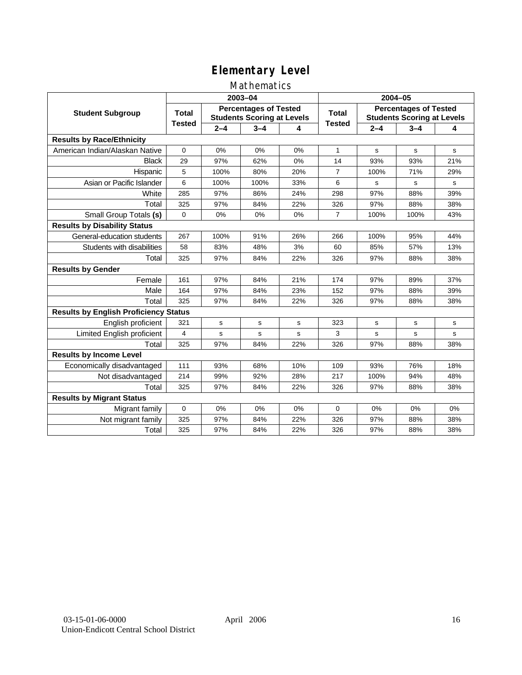### Mathematics

|                                              |               |         | 2003-04                                                           |     | 2004-05        |             |                                                                   |     |
|----------------------------------------------|---------------|---------|-------------------------------------------------------------------|-----|----------------|-------------|-------------------------------------------------------------------|-----|
| <b>Student Subgroup</b>                      | <b>Total</b>  |         | <b>Percentages of Tested</b><br><b>Students Scoring at Levels</b> |     | Total          |             | <b>Percentages of Tested</b><br><b>Students Scoring at Levels</b> |     |
|                                              | <b>Tested</b> | $2 - 4$ | $3 - 4$                                                           | 4   | <b>Tested</b>  | $2 - 4$     | $3 - 4$                                                           | 4   |
| <b>Results by Race/Ethnicity</b>             |               |         |                                                                   |     |                |             |                                                                   |     |
| American Indian/Alaskan Native               | $\Omega$      | 0%      | 0%                                                                | 0%  | $\mathbf{1}$   | s           | s                                                                 | s   |
| <b>Black</b>                                 | 29            | 97%     | 62%                                                               | 0%  | 14             | 93%         | 93%                                                               | 21% |
| Hispanic                                     | 5             | 100%    | 80%                                                               | 20% | $\overline{7}$ | 100%        | 71%                                                               | 29% |
| Asian or Pacific Islander                    | 6             | 100%    | 100%                                                              | 33% | 6              | s           | s                                                                 | s   |
| White                                        | 285           | 97%     | 86%                                                               | 24% | 298            | 97%         | 88%                                                               | 39% |
| Total                                        | 325           | 97%     | 84%                                                               | 22% | 326            | 97%         | 88%                                                               | 38% |
| Small Group Totals (s)                       | $\Omega$      | 0%      | 0%                                                                | 0%  | $\overline{7}$ | 100%        | 100%                                                              | 43% |
| <b>Results by Disability Status</b>          |               |         |                                                                   |     |                |             |                                                                   |     |
| General-education students                   | 267           | 100%    | 91%                                                               | 26% | 266            | 100%        | 95%                                                               | 44% |
| Students with disabilities                   | 58            | 83%     | 48%                                                               | 3%  | 60             | 85%         | 57%                                                               | 13% |
| Total                                        | 325           | 97%     | 84%                                                               | 22% | 326            | 97%         | 88%                                                               | 38% |
| <b>Results by Gender</b>                     |               |         |                                                                   |     |                |             |                                                                   |     |
| Female                                       | 161           | 97%     | 84%                                                               | 21% | 174            | 97%         | 89%                                                               | 37% |
| Male                                         | 164           | 97%     | 84%                                                               | 23% | 152            | 97%         | 88%                                                               | 39% |
| Total                                        | 325           | 97%     | 84%                                                               | 22% | 326            | 97%         | 88%                                                               | 38% |
| <b>Results by English Proficiency Status</b> |               |         |                                                                   |     |                |             |                                                                   |     |
| English proficient                           | 321           | s       | s                                                                 | s   | 323            | $\mathbf s$ | s                                                                 | s   |
| Limited English proficient                   | 4             | s       | s                                                                 | s   | 3              | s           | s                                                                 | s   |
| Total                                        | 325           | 97%     | 84%                                                               | 22% | 326            | 97%         | 88%                                                               | 38% |
| <b>Results by Income Level</b>               |               |         |                                                                   |     |                |             |                                                                   |     |
| Economically disadvantaged                   | 111           | 93%     | 68%                                                               | 10% | 109            | 93%         | 76%                                                               | 18% |
| Not disadvantaged                            | 214           | 99%     | 92%                                                               | 28% | 217            | 100%        | 94%                                                               | 48% |
| Total                                        | 325           | 97%     | 84%                                                               | 22% | 326            | 97%         | 88%                                                               | 38% |
| <b>Results by Migrant Status</b>             |               |         |                                                                   |     |                |             |                                                                   |     |
| Migrant family                               | 0             | 0%      | 0%                                                                | 0%  | $\Omega$       | 0%          | 0%                                                                | 0%  |
| Not migrant family                           | 325           | 97%     | 84%                                                               | 22% | 326            | 97%         | 88%                                                               | 38% |
| Total                                        | 325           | 97%     | 84%                                                               | 22% | 326            | 97%         | 88%                                                               | 38% |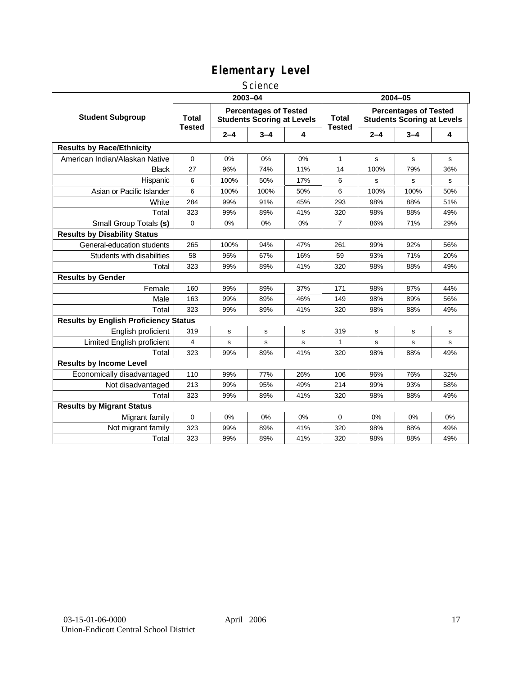### **Science**

|                                              | 2003-04                       |         |                                                                   |     | 2004-05                       |         |                                                                   |     |
|----------------------------------------------|-------------------------------|---------|-------------------------------------------------------------------|-----|-------------------------------|---------|-------------------------------------------------------------------|-----|
| <b>Student Subgroup</b>                      | <b>Total</b><br><b>Tested</b> |         | <b>Percentages of Tested</b><br><b>Students Scoring at Levels</b> |     | <b>Total</b><br><b>Tested</b> |         | <b>Percentages of Tested</b><br><b>Students Scoring at Levels</b> |     |
|                                              |                               | $2 - 4$ | $3 - 4$                                                           | 4   |                               | $2 - 4$ | $3 - 4$                                                           | 4   |
| <b>Results by Race/Ethnicity</b>             |                               |         |                                                                   |     |                               |         |                                                                   |     |
| American Indian/Alaskan Native               | 0                             | 0%      | 0%                                                                | 0%  | 1                             | s       | s                                                                 | s   |
| <b>Black</b>                                 | 27                            | 96%     | 74%                                                               | 11% | 14                            | 100%    | 79%                                                               | 36% |
| Hispanic                                     | 6                             | 100%    | 50%                                                               | 17% | 6                             | s       | s                                                                 | s   |
| Asian or Pacific Islander                    | 6                             | 100%    | 100%                                                              | 50% | 6                             | 100%    | 100%                                                              | 50% |
| White                                        | 284                           | 99%     | 91%                                                               | 45% | 293                           | 98%     | 88%                                                               | 51% |
| Total                                        | 323                           | 99%     | 89%                                                               | 41% | 320                           | 98%     | 88%                                                               | 49% |
| Small Group Totals (s)                       | 0                             | 0%      | 0%                                                                | 0%  | $\overline{7}$                | 86%     | 71%                                                               | 29% |
| <b>Results by Disability Status</b>          |                               |         |                                                                   |     |                               |         |                                                                   |     |
| General-education students                   | 265                           | 100%    | 94%                                                               | 47% | 261                           | 99%     | 92%                                                               | 56% |
| Students with disabilities                   | 58                            | 95%     | 67%                                                               | 16% | 59                            | 93%     | 71%                                                               | 20% |
| Total                                        | 323                           | 99%     | 89%                                                               | 41% | 320                           | 98%     | 88%                                                               | 49% |
| <b>Results by Gender</b>                     |                               |         |                                                                   |     |                               |         |                                                                   |     |
| Female                                       | 160                           | 99%     | 89%                                                               | 37% | 171                           | 98%     | 87%                                                               | 44% |
| Male                                         | 163                           | 99%     | 89%                                                               | 46% | 149                           | 98%     | 89%                                                               | 56% |
| Total                                        | 323                           | 99%     | 89%                                                               | 41% | 320                           | 98%     | 88%                                                               | 49% |
| <b>Results by English Proficiency Status</b> |                               |         |                                                                   |     |                               |         |                                                                   |     |
| English proficient                           | 319                           | s       | s                                                                 | s   | 319                           | s       | s                                                                 | s   |
| Limited English proficient                   | $\overline{4}$                | s       | s                                                                 | s   | 1                             | s       | s                                                                 | s   |
| Total                                        | 323                           | 99%     | 89%                                                               | 41% | 320                           | 98%     | 88%                                                               | 49% |
| <b>Results by Income Level</b>               |                               |         |                                                                   |     |                               |         |                                                                   |     |
| Economically disadvantaged                   | 110                           | 99%     | 77%                                                               | 26% | 106                           | 96%     | 76%                                                               | 32% |
| Not disadvantaged                            | 213                           | 99%     | 95%                                                               | 49% | 214                           | 99%     | 93%                                                               | 58% |
| Total                                        | 323                           | 99%     | 89%                                                               | 41% | 320                           | 98%     | 88%                                                               | 49% |
| <b>Results by Migrant Status</b>             |                               |         |                                                                   |     |                               |         |                                                                   |     |
| Migrant family                               | 0                             | 0%      | 0%                                                                | 0%  | $\mathbf 0$                   | 0%      | 0%                                                                | 0%  |
| Not migrant family                           | 323                           | 99%     | 89%                                                               | 41% | 320                           | 98%     | 88%                                                               | 49% |
| Total                                        | 323                           | 99%     | 89%                                                               | 41% | 320                           | 98%     | 88%                                                               | 49% |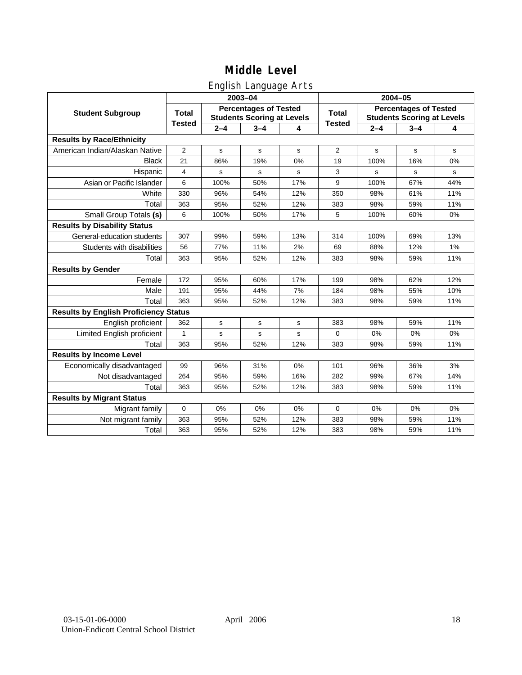## English Language Arts

|                                              |               |         | 2003-04                                                           |     | 2004-05        |         |                                                                   |     |  |
|----------------------------------------------|---------------|---------|-------------------------------------------------------------------|-----|----------------|---------|-------------------------------------------------------------------|-----|--|
| <b>Student Subgroup</b>                      | <b>Total</b>  |         | <b>Percentages of Tested</b><br><b>Students Scoring at Levels</b> |     | <b>Total</b>   |         | <b>Percentages of Tested</b><br><b>Students Scoring at Levels</b> |     |  |
|                                              | <b>Tested</b> | $2 - 4$ | $3 - 4$                                                           | 4   | <b>Tested</b>  | $2 - 4$ | $3 - 4$                                                           | 4   |  |
| <b>Results by Race/Ethnicity</b>             |               |         |                                                                   |     |                |         |                                                                   |     |  |
| American Indian/Alaskan Native               | 2             | s       | s                                                                 | s   | $\overline{2}$ | s       | s                                                                 | s   |  |
| <b>Black</b>                                 | 21            | 86%     | 19%                                                               | 0%  | 19             | 100%    | 16%                                                               | 0%  |  |
| Hispanic                                     | 4             | s       | s                                                                 | s   | 3              | s       | s                                                                 | s   |  |
| Asian or Pacific Islander                    | 6             | 100%    | 50%                                                               | 17% | 9              | 100%    | 67%                                                               | 44% |  |
| White                                        | 330           | 96%     | 54%                                                               | 12% | 350            | 98%     | 61%                                                               | 11% |  |
| Total                                        | 363           | 95%     | 52%                                                               | 12% | 383            | 98%     | 59%                                                               | 11% |  |
| Small Group Totals (s)                       | 6             | 100%    | 50%                                                               | 17% | 5              | 100%    | 60%                                                               | 0%  |  |
| <b>Results by Disability Status</b>          |               |         |                                                                   |     |                |         |                                                                   |     |  |
| General-education students                   | 307           | 99%     | 59%                                                               | 13% | 314            | 100%    | 69%                                                               | 13% |  |
| Students with disabilities                   | 56            | 77%     | 11%                                                               | 2%  | 69             | 88%     | 12%                                                               | 1%  |  |
| Total                                        | 363           | 95%     | 52%                                                               | 12% | 383            | 98%     | 59%                                                               | 11% |  |
| <b>Results by Gender</b>                     |               |         |                                                                   |     |                |         |                                                                   |     |  |
| Female                                       | 172           | 95%     | 60%                                                               | 17% | 199            | 98%     | 62%                                                               | 12% |  |
| Male                                         | 191           | 95%     | 44%                                                               | 7%  | 184            | 98%     | 55%                                                               | 10% |  |
| Total                                        | 363           | 95%     | 52%                                                               | 12% | 383            | 98%     | 59%                                                               | 11% |  |
| <b>Results by English Proficiency Status</b> |               |         |                                                                   |     |                |         |                                                                   |     |  |
| English proficient                           | 362           | s       | s                                                                 | s   | 383            | 98%     | 59%                                                               | 11% |  |
| Limited English proficient                   | 1             | s       | s                                                                 | s   | $\Omega$       | 0%      | 0%                                                                | 0%  |  |
| Total                                        | 363           | 95%     | 52%                                                               | 12% | 383            | 98%     | 59%                                                               | 11% |  |
| <b>Results by Income Level</b>               |               |         |                                                                   |     |                |         |                                                                   |     |  |
| Economically disadvantaged                   | 99            | 96%     | 31%                                                               | 0%  | 101            | 96%     | 36%                                                               | 3%  |  |
| Not disadvantaged                            | 264           | 95%     | 59%                                                               | 16% | 282            | 99%     | 67%                                                               | 14% |  |
| Total                                        | 363           | 95%     | 52%                                                               | 12% | 383            | 98%     | 59%                                                               | 11% |  |
| <b>Results by Migrant Status</b>             |               |         |                                                                   |     |                |         |                                                                   |     |  |
| Migrant family                               | 0             | 0%      | 0%                                                                | 0%  | $\mathbf 0$    | 0%      | 0%                                                                | 0%  |  |
| Not migrant family                           | 363           | 95%     | 52%                                                               | 12% | 383            | 98%     | 59%                                                               | 11% |  |
| Total                                        | 363           | 95%     | 52%                                                               | 12% | 383            | 98%     | 59%                                                               | 11% |  |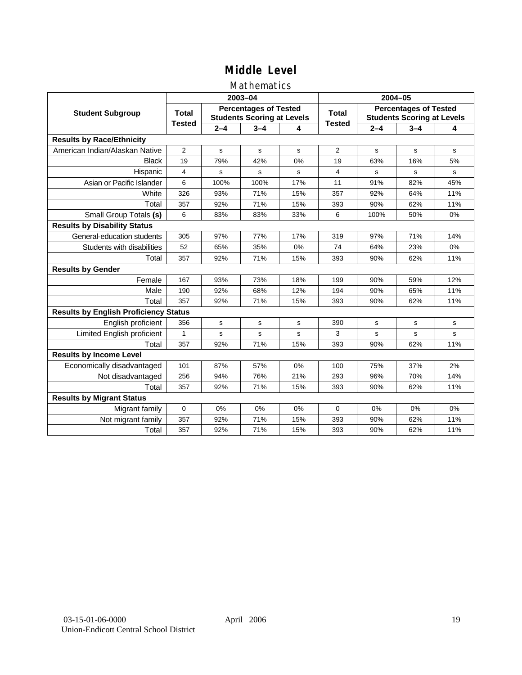### Mathematics

|                                              |                |         | 2003-04                                                           |           | 2004-05        |             |                                                                   |     |
|----------------------------------------------|----------------|---------|-------------------------------------------------------------------|-----------|----------------|-------------|-------------------------------------------------------------------|-----|
| <b>Student Subgroup</b>                      | <b>Total</b>   |         | <b>Percentages of Tested</b><br><b>Students Scoring at Levels</b> |           | Total          |             | <b>Percentages of Tested</b><br><b>Students Scoring at Levels</b> |     |
|                                              | <b>Tested</b>  | $2 - 4$ | $3 - 4$                                                           | 4         | <b>Tested</b>  | $2 - 4$     | $3 - 4$                                                           | 4   |
| <b>Results by Race/Ethnicity</b>             |                |         |                                                                   |           |                |             |                                                                   |     |
| American Indian/Alaskan Native               | $\overline{2}$ | s       | s                                                                 | s         | $\overline{2}$ | s           | s                                                                 | s   |
| <b>Black</b>                                 | 19             | 79%     | 42%                                                               | 0%        | 19             | 63%         | 16%                                                               | 5%  |
| Hispanic                                     | $\overline{4}$ | s       | s                                                                 | s         | 4              | s           | s                                                                 | s   |
| Asian or Pacific Islander                    | 6              | 100%    | 100%                                                              | 17%       | 11             | 91%         | 82%                                                               | 45% |
| White                                        | 326            | 93%     | 71%                                                               | 15%       | 357            | 92%         | 64%                                                               | 11% |
| Total                                        | 357            | 92%     | 71%                                                               | 15%       | 393            | 90%         | 62%                                                               | 11% |
| Small Group Totals (s)                       | 6              | 83%     | 83%                                                               | 33%       | 6              | 100%        | 50%                                                               | 0%  |
| <b>Results by Disability Status</b>          |                |         |                                                                   |           |                |             |                                                                   |     |
| General-education students                   | 305            | 97%     | 77%                                                               | 17%       | 319            | 97%         | 71%                                                               | 14% |
| Students with disabilities                   | 52             | 65%     | 35%                                                               | 0%        | 74             | 64%         | 23%                                                               | 0%  |
| Total                                        | 357            | 92%     | 71%                                                               | 15%       | 393            | 90%         | 62%                                                               | 11% |
| <b>Results by Gender</b>                     |                |         |                                                                   |           |                |             |                                                                   |     |
| Female                                       | 167            | 93%     | 73%                                                               | 18%       | 199            | 90%         | 59%                                                               | 12% |
| Male                                         | 190            | 92%     | 68%                                                               | 12%       | 194            | 90%         | 65%                                                               | 11% |
| Total                                        | 357            | 92%     | 71%                                                               | 15%       | 393            | 90%         | 62%                                                               | 11% |
| <b>Results by English Proficiency Status</b> |                |         |                                                                   |           |                |             |                                                                   |     |
| English proficient                           | 356            | s       | $\mathbf s$                                                       | ${\tt s}$ | 390            | $\mathbf s$ | $\mathbf s$                                                       | s   |
| Limited English proficient                   | 1              | s       | s                                                                 | S         | 3              | s           | s                                                                 | s   |
| Total                                        | 357            | 92%     | 71%                                                               | 15%       | 393            | 90%         | 62%                                                               | 11% |
| <b>Results by Income Level</b>               |                |         |                                                                   |           |                |             |                                                                   |     |
| Economically disadvantaged                   | 101            | 87%     | 57%                                                               | 0%        | 100            | 75%         | 37%                                                               | 2%  |
| Not disadvantaged                            | 256            | 94%     | 76%                                                               | 21%       | 293            | 96%         | 70%                                                               | 14% |
| Total                                        | 357            | 92%     | 71%                                                               | 15%       | 393            | 90%         | 62%                                                               | 11% |
| <b>Results by Migrant Status</b>             |                |         |                                                                   |           |                |             |                                                                   |     |
| Migrant family                               | 0              | 0%      | 0%                                                                | 0%        | $\Omega$       | 0%          | 0%                                                                | 0%  |
| Not migrant family                           | 357            | 92%     | 71%                                                               | 15%       | 393            | 90%         | 62%                                                               | 11% |
| Total                                        | 357            | 92%     | 71%                                                               | 15%       | 393            | 90%         | 62%                                                               | 11% |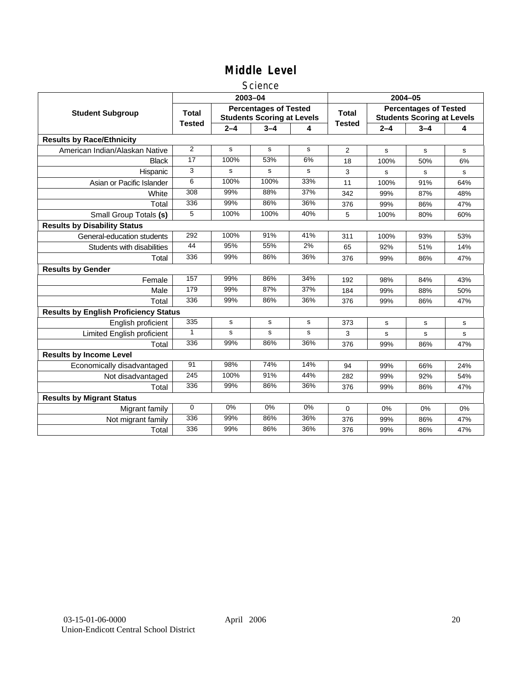### Science

|                                              |               |         | 2003-04                                                           |           | 2004-05        |             |                                                                   |     |
|----------------------------------------------|---------------|---------|-------------------------------------------------------------------|-----------|----------------|-------------|-------------------------------------------------------------------|-----|
| <b>Student Subgroup</b>                      | <b>Total</b>  |         | <b>Percentages of Tested</b><br><b>Students Scoring at Levels</b> |           | <b>Total</b>   |             | <b>Percentages of Tested</b><br><b>Students Scoring at Levels</b> |     |
|                                              | <b>Tested</b> | $2 - 4$ | $3 - 4$                                                           | 4         | <b>Tested</b>  | $2 - 4$     | $3 - 4$                                                           | 4   |
| <b>Results by Race/Ethnicity</b>             |               |         |                                                                   |           |                |             |                                                                   |     |
| American Indian/Alaskan Native               | 2             | s       | s                                                                 | s         | $\overline{2}$ | s           | s                                                                 | s   |
| <b>Black</b>                                 | 17            | 100%    | 53%                                                               | 6%        | 18             | 100%        | 50%                                                               | 6%  |
| Hispanic                                     | 3             | s       | s                                                                 | s         | 3              | s           | s                                                                 | s   |
| Asian or Pacific Islander                    | 6             | 100%    | 100%                                                              | 33%       | 11             | 100%        | 91%                                                               | 64% |
| White                                        | 308           | 99%     | 88%                                                               | 37%       | 342            | 99%         | 87%                                                               | 48% |
| Total                                        | 336           | 99%     | 86%                                                               | 36%       | 376            | 99%         | 86%                                                               | 47% |
| Small Group Totals (s)                       | 5             | 100%    | 100%                                                              | 40%       | 5              | 100%        | 80%                                                               | 60% |
| <b>Results by Disability Status</b>          |               |         |                                                                   |           |                |             |                                                                   |     |
| General-education students                   | 292           | 100%    | 91%                                                               | 41%       | 311            | 100%        | 93%                                                               | 53% |
| Students with disabilities                   | 44            | 95%     | 55%                                                               | 2%        | 65             | 92%         | 51%                                                               | 14% |
| Total                                        | 336           | 99%     | 86%                                                               | 36%       | 376            | 99%         | 86%                                                               | 47% |
| <b>Results by Gender</b>                     |               |         |                                                                   |           |                |             |                                                                   |     |
| Female                                       | 157           | 99%     | 86%                                                               | 34%       | 192            | 98%         | 84%                                                               | 43% |
| Male                                         | 179           | 99%     | 87%                                                               | 37%       | 184            | 99%         | 88%                                                               | 50% |
| Total                                        | 336           | 99%     | 86%                                                               | 36%       | 376            | 99%         | 86%                                                               | 47% |
| <b>Results by English Proficiency Status</b> |               |         |                                                                   |           |                |             |                                                                   |     |
| English proficient                           | 335           | s       | $\mathbf s$                                                       | ${\tt s}$ | 373            | $\mathbf s$ | s                                                                 | s   |
| Limited English proficient                   | $\mathbf{1}$  | s       | s                                                                 | s         | 3              | s           | s                                                                 | s   |
| Total                                        | 336           | 99%     | 86%                                                               | 36%       | 376            | 99%         | 86%                                                               | 47% |
| <b>Results by Income Level</b>               |               |         |                                                                   |           |                |             |                                                                   |     |
| Economically disadvantaged                   | 91            | 98%     | 74%                                                               | 14%       | 94             | 99%         | 66%                                                               | 24% |
| Not disadvantaged                            | 245           | 100%    | 91%                                                               | 44%       | 282            | 99%         | 92%                                                               | 54% |
| Total                                        | 336           | 99%     | 86%                                                               | 36%       | 376            | 99%         | 86%                                                               | 47% |
| <b>Results by Migrant Status</b>             |               |         |                                                                   |           |                |             |                                                                   |     |
| Migrant family                               | $\mathbf 0$   | 0%      | 0%                                                                | 0%        | 0              | 0%          | 0%                                                                | 0%  |
| Not migrant family                           | 336           | 99%     | 86%                                                               | 36%       | 376            | 99%         | 86%                                                               | 47% |
| Total                                        | 336           | 99%     | 86%                                                               | 36%       | 376            | 99%         | 86%                                                               | 47% |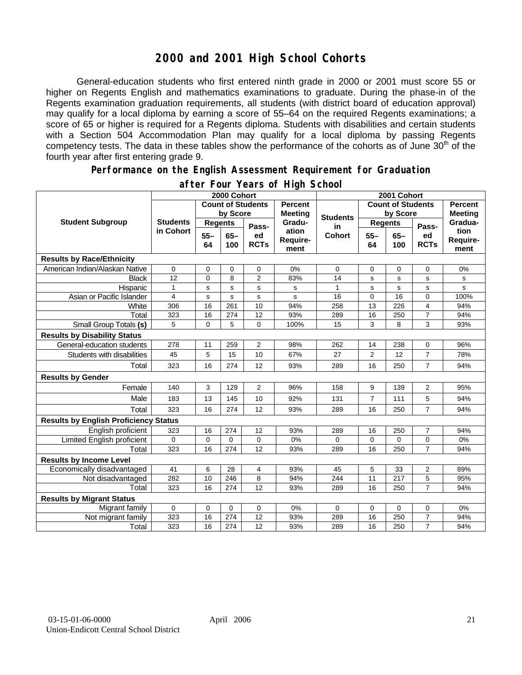## **2000 and 2001 High School Cohorts**

General-education students who first entered ninth grade in 2000 or 2001 must score 55 or higher on Regents English and mathematics examinations to graduate. During the phase-in of the Regents examination graduation requirements, all students (with district board of education approval) may qualify for a local diploma by earning a score of 55–64 on the required Regents examinations; a score of 65 or higher is required for a Regents diploma. Students with disabilities and certain students with a Section 504 Accommodation Plan may qualify for a local diploma by passing Regents competency tests. The data in these tables show the performance of the cohorts as of June 30<sup>th</sup> of the fourth year after first entering grade 9.

#### **Performance on the English Assessment Requirement for Graduation**

|                                              | 2000 Cohort                  |                          |               |                                  |                           | 2001 Cohort              |                |               |                                  |                          |
|----------------------------------------------|------------------------------|--------------------------|---------------|----------------------------------|---------------------------|--------------------------|----------------|---------------|----------------------------------|--------------------------|
| <b>Student Subgroup</b>                      |                              | <b>Count of Students</b> |               | <b>Percent</b><br><b>Meeting</b> |                           | <b>Count of Students</b> |                |               | <b>Percent</b><br><b>Meeting</b> |                          |
|                                              | <b>Students</b><br>in Cohort | by Score                 |               |                                  | <b>Students</b>           | by Score                 |                |               |                                  |                          |
|                                              |                              | <b>Regents</b>           |               | Pass-                            | Gradu-                    | in                       | <b>Regents</b> |               | Pass-                            | Gradua-                  |
|                                              |                              | $55 -$<br>64             | $65 -$<br>100 | ed<br><b>RCTs</b>                | ation<br>Require-<br>ment | <b>Cohort</b>            | $55 -$<br>64   | $65 -$<br>100 | ed<br><b>RCTs</b>                | tion<br>Require-<br>ment |
| <b>Results by Race/Ethnicity</b>             |                              |                          |               |                                  |                           |                          |                |               |                                  |                          |
| American Indian/Alaskan Native               | 0                            | 0                        | $\mathbf 0$   | 0                                | 0%                        | 0                        | 0              | $\mathbf 0$   | 0                                | 0%                       |
| <b>Black</b>                                 | 12                           | $\mathbf 0$              | 8             | $\overline{2}$                   | 83%                       | 14                       | s              | s             | s                                | s                        |
| Hispanic                                     | $\mathbf{1}$                 | s                        | $\mathbf s$   | s                                | s                         | 1                        | s              | s             | s                                | s                        |
| Asian or Pacific Islander                    | 4                            | s                        | $\mathbf s$   | s                                | s                         | 16                       | 0              | 16            | 0                                | 100%                     |
| White                                        | 306                          | 16                       | 261           | 10                               | 94%                       | 258                      | 13             | 226           | 4                                | 94%                      |
| Total                                        | 323                          | 16                       | 274           | 12                               | 93%                       | 289                      | 16             | 250           | $\overline{7}$                   | 94%                      |
| Small Group Totals (s)                       | 5                            | 0                        | 5             | $\overline{0}$                   | 100%                      | 15                       | 3              | 8             | 3                                | 93%                      |
| <b>Results by Disability Status</b>          |                              |                          |               |                                  |                           |                          |                |               |                                  |                          |
| General-education students                   | 278                          | 11                       | 259           | 2                                | 98%                       | 262                      | 14             | 238           | 0                                | 96%                      |
| Students with disabilities                   | 45                           | 5                        | 15            | 10                               | 67%                       | 27                       | $\overline{2}$ | 12            | $\overline{7}$                   | 78%                      |
| Total                                        | 323                          | 16                       | 274           | 12                               | 93%                       | 289                      | 16             | 250           | $\overline{7}$                   | 94%                      |
| <b>Results by Gender</b>                     |                              |                          |               |                                  |                           |                          |                |               |                                  |                          |
| Female                                       | 140                          | 3                        | 129           | $\overline{2}$                   | 96%                       | 158                      | 9              | 139           | $\overline{2}$                   | 95%                      |
| Male                                         | 183                          | 13                       | 145           | 10                               | 92%                       | 131                      | $\overline{7}$ | 111           | 5                                | 94%                      |
| Total                                        | 323                          | 16                       | 274           | 12                               | 93%                       | 289                      | 16             | 250           | $\overline{7}$                   | 94%                      |
| <b>Results by English Proficiency Status</b> |                              |                          |               |                                  |                           |                          |                |               |                                  |                          |
| English proficient                           | 323                          | 16                       | 274           | 12                               | 93%                       | 289                      | 16             | 250           | $\overline{7}$                   | 94%                      |
| Limited English proficient                   | 0                            | 0                        | $\mathbf 0$   | 0                                | 0%                        | 0                        | 0              | 0             | 0                                | 0%                       |
| Total                                        | 323                          | 16                       | 274           | 12                               | 93%                       | 289                      | 16             | 250           | $\overline{7}$                   | 94%                      |
| <b>Results by Income Level</b>               |                              |                          |               |                                  |                           |                          |                |               |                                  |                          |
| Economically disadvantaged                   | 41                           | 6                        | 28            | 4                                | 93%                       | 45                       | 5              | 33            | 2                                | 89%                      |
| Not disadvantaged                            | 282                          | 10                       | 246           | 8                                | 94%                       | 244                      | 11             | 217           | 5                                | 95%                      |
| Total                                        | 323                          | 16                       | 274           | 12                               | 93%                       | 289                      | 16             | 250           | $\overline{7}$                   | 94%                      |
| <b>Results by Migrant Status</b>             |                              |                          |               |                                  |                           |                          |                |               |                                  |                          |
| Migrant family                               | $\mathbf 0$                  | $\mathbf 0$              | $\Omega$      | 0                                | 0%                        | 0                        | 0              | $\mathbf 0$   | 0                                | 0%                       |
| Not migrant family                           | 323                          | 16                       | 274           | 12                               | 93%                       | 289                      | 16             | 250           | $\overline{7}$                   | 94%                      |
| Total                                        | 323                          | 16                       | 274           | 12                               | 93%                       | 289                      | 16             | 250           | $\overline{7}$                   | 94%                      |

### **after Four Years of High School**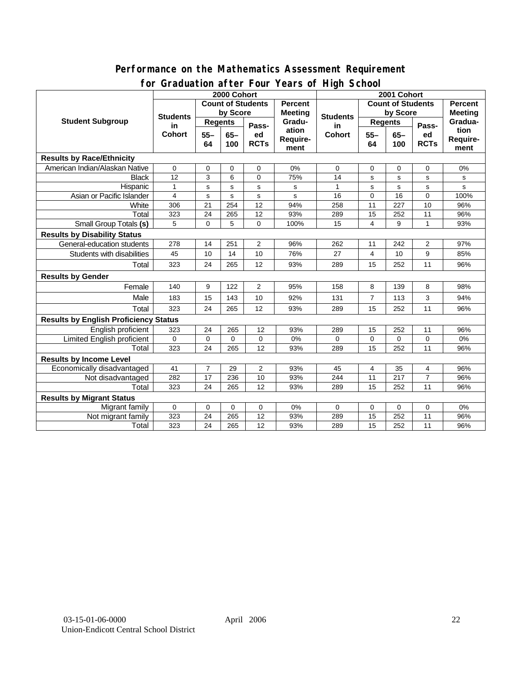### **Performance on the Mathematics Assessment Requirement for Graduation after Four Years of High School**

|                                              | <u><b>Siddaction artor roar roars or right conco</b></u><br>2000 Cohort |                 |             |                |                  | 2001 Cohort                            |                          |             |                |                 |
|----------------------------------------------|-------------------------------------------------------------------------|-----------------|-------------|----------------|------------------|----------------------------------------|--------------------------|-------------|----------------|-----------------|
| <b>Student Subgroup</b>                      | <b>Count of Students</b>                                                |                 |             |                | <b>Percent</b>   |                                        | <b>Count of Students</b> |             |                | <b>Percent</b>  |
|                                              | <b>Students</b><br>in<br><b>Cohort</b>                                  | by Score        |             |                | <b>Meeting</b>   |                                        | by Score                 |             |                | <b>Meeting</b>  |
|                                              |                                                                         | <b>Regents</b>  |             |                | Gradu-<br>ation  | <b>Students</b><br>in<br><b>Cohort</b> | <b>Regents</b>           |             |                | Gradua-<br>tion |
|                                              |                                                                         | $55 -$<br>$65-$ |             | Pass-<br>ed    |                  |                                        | $65-$<br>$55 -$          | Pass-<br>ed |                |                 |
|                                              |                                                                         | 64              | 100         | <b>RCTs</b>    | Require-<br>ment |                                        | 64                       | 100         | <b>RCTs</b>    | Require-        |
|                                              |                                                                         |                 |             |                |                  |                                        |                          |             |                | ment            |
| <b>Results by Race/Ethnicity</b>             |                                                                         |                 |             |                |                  |                                        |                          |             |                |                 |
| American Indian/Alaskan Native               | 0                                                                       | 0               | $\mathbf 0$ | 0              | 0%               | 0                                      | 0                        | 0           | 0              | 0%              |
| <b>Black</b>                                 | 12                                                                      | 3               | 6           | $\Omega$       | 75%              | 14                                     | s                        | $\mathbf s$ | s              | s               |
| Hispanic                                     | $\mathbf{1}$                                                            | s               | s           | s              | S                | 1                                      | s                        | $\mathbf s$ | s              | s               |
| Asian or Pacific Islander                    | 4                                                                       | $\mathbf s$     | s           | $\sf s$        | s                | 16                                     | 0                        | 16          | 0              | 100%            |
| White                                        | 306                                                                     | 21              | 254         | 12             | 94%              | 258                                    | 11                       | 227         | 10             | 96%             |
| Total                                        | 323                                                                     | 24              | 265         | 12             | 93%              | 289                                    | 15                       | 252         | 11             | 96%             |
| <b>Small Group Totals (s)</b>                | 5                                                                       | $\Omega$        | 5           | $\Omega$       | 100%             | 15                                     | 4                        | 9           | 1              | 93%             |
| <b>Results by Disability Status</b>          |                                                                         |                 |             |                |                  |                                        |                          |             |                |                 |
| General-education students                   | 278                                                                     | 14              | 251         | $\overline{2}$ | 96%              | 262                                    | 11                       | 242         | 2              | 97%             |
| Students with disabilities                   | 45                                                                      | 10              | 14          | 10             | 76%              | 27                                     | 4                        | 10          | 9              | 85%             |
| Total                                        | 323                                                                     | 24              | 265         | 12             | 93%              | 289                                    | 15                       | 252         | 11             | 96%             |
| <b>Results by Gender</b>                     |                                                                         |                 |             |                |                  |                                        |                          |             |                |                 |
| Female                                       | 140                                                                     | 9               | 122         | $\overline{2}$ | 95%              | 158                                    | 8                        | 139         | 8              | 98%             |
| Male                                         | 183                                                                     | 15              | 143         | 10             | 92%              | 131                                    | $\overline{7}$           | 113         | 3              | 94%             |
| Total                                        | 323                                                                     | 24              | 265         | 12             | 93%              | 289                                    | 15                       | 252         | 11             | 96%             |
| <b>Results by English Proficiency Status</b> |                                                                         |                 |             |                |                  |                                        |                          |             |                |                 |
| English proficient                           | 323                                                                     | 24              | 265         | 12             | 93%              | 289                                    | 15                       | 252         | 11             | 96%             |
| Limited English proficient                   | 0                                                                       | $\mathbf 0$     | 0           | 0              | 0%               | $\Omega$                               | $\mathbf 0$              | $\mathbf 0$ | 0              | 0%              |
| Total                                        | 323                                                                     | 24              | 265         | 12             | 93%              | 289                                    | 15                       | 252         | 11             | 96%             |
| <b>Results by Income Level</b>               |                                                                         |                 |             |                |                  |                                        |                          |             |                |                 |
| Economically disadvantaged                   | 41                                                                      | $\overline{7}$  | 29          | 2              | 93%              | 45                                     | 4                        | 35          | 4              | 96%             |
| Not disadvantaged                            | 282                                                                     | 17              | 236         | 10             | 93%              | 244                                    | $\overline{11}$          | 217         | $\overline{7}$ | 96%             |
| Total                                        | 323                                                                     | 24              | 265         | 12             | 93%              | 289                                    | 15                       | 252         | 11             | 96%             |
| <b>Results by Migrant Status</b>             |                                                                         |                 |             |                |                  |                                        |                          |             |                |                 |
| Migrant family                               | $\mathbf 0$                                                             | $\mathbf 0$     | 0           | 0              | 0%               | 0                                      | 0                        | 0           | 0              | 0%              |
| Not migrant family                           | 323                                                                     | 24              | 265         | 12             | 93%              | 289                                    | 15                       | 252         | 11             | 96%             |
| Total                                        | 323                                                                     | 24              | 265         | 12             | 93%              | 289                                    | 15                       | 252         | 11             | 96%             |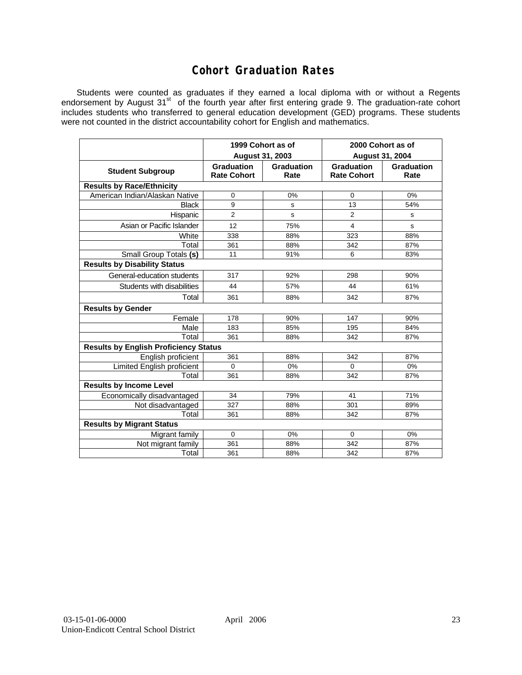## **Cohort Graduation Rates**

Students were counted as graduates if they earned a local diploma with or without a Regents endorsement by August 31<sup>st</sup> of the fourth year after first entering grade 9. The graduation-rate cohort includes students who transferred to general education development (GED) programs. These students were not counted in the district accountability cohort for English and mathematics.

|                                              | 1999 Cohort as of<br>August 31, 2003 |                    | 2000 Cohort as of<br><b>August 31, 2004</b> |                    |  |  |  |  |  |
|----------------------------------------------|--------------------------------------|--------------------|---------------------------------------------|--------------------|--|--|--|--|--|
| <b>Student Subgroup</b>                      | Graduation<br><b>Rate Cohort</b>     | Graduation<br>Rate | Graduation<br><b>Rate Cohort</b>            | Graduation<br>Rate |  |  |  |  |  |
| <b>Results by Race/Ethnicity</b>             |                                      |                    |                                             |                    |  |  |  |  |  |
| American Indian/Alaskan Native               | 0                                    | 0%                 | $\mathbf 0$                                 | 0%                 |  |  |  |  |  |
| <b>Black</b>                                 | 9                                    | s                  | 13                                          | 54%                |  |  |  |  |  |
| Hispanic                                     | $\overline{2}$                       | s                  | $\overline{2}$                              | s                  |  |  |  |  |  |
| Asian or Pacific Islander                    | 12                                   | 75%                | 4                                           | s                  |  |  |  |  |  |
| White                                        | 338                                  | 88%                | 323                                         | 88%                |  |  |  |  |  |
| Total                                        | 361                                  | 88%                | 342                                         | 87%                |  |  |  |  |  |
| Small Group Totals (s)                       | 11                                   | 91%                | 6                                           | 83%                |  |  |  |  |  |
| <b>Results by Disability Status</b>          |                                      |                    |                                             |                    |  |  |  |  |  |
| General-education students                   | 317                                  | 92%                | 298                                         | 90%                |  |  |  |  |  |
| Students with disabilities                   | 44                                   | 57%                | 44                                          | 61%                |  |  |  |  |  |
| Total                                        | 361                                  | 88%                | 342                                         | 87%                |  |  |  |  |  |
| <b>Results by Gender</b>                     |                                      |                    |                                             |                    |  |  |  |  |  |
| Female                                       | 178                                  | 90%                | 147                                         | 90%                |  |  |  |  |  |
| Male                                         | 183                                  | 85%                | 195                                         | 84%                |  |  |  |  |  |
| Total                                        | 361                                  | 88%                | 342                                         | 87%                |  |  |  |  |  |
| <b>Results by English Proficiency Status</b> |                                      |                    |                                             |                    |  |  |  |  |  |
| English proficient                           | 361                                  | 88%                | 342                                         | 87%                |  |  |  |  |  |
| Limited English proficient                   | 0                                    | 0%                 | $\Omega$                                    | 0%                 |  |  |  |  |  |
| Total                                        | 361                                  | 88%                | 342                                         | 87%                |  |  |  |  |  |
| <b>Results by Income Level</b>               |                                      |                    |                                             |                    |  |  |  |  |  |
| Economically disadvantaged                   | 34                                   | 79%                | 41                                          | 71%                |  |  |  |  |  |
| Not disadvantaged                            | 327                                  | 88%                | 301                                         | 89%                |  |  |  |  |  |
| Total                                        | 361                                  | 88%                | 342                                         | 87%                |  |  |  |  |  |
| <b>Results by Migrant Status</b>             |                                      |                    |                                             |                    |  |  |  |  |  |
| Migrant family                               | 0                                    | $0\%$              | 0                                           | 0%                 |  |  |  |  |  |
| Not migrant family                           | 361                                  | 88%                | 342                                         | 87%                |  |  |  |  |  |
| Total                                        | 361                                  | 88%                | 342                                         | 87%                |  |  |  |  |  |